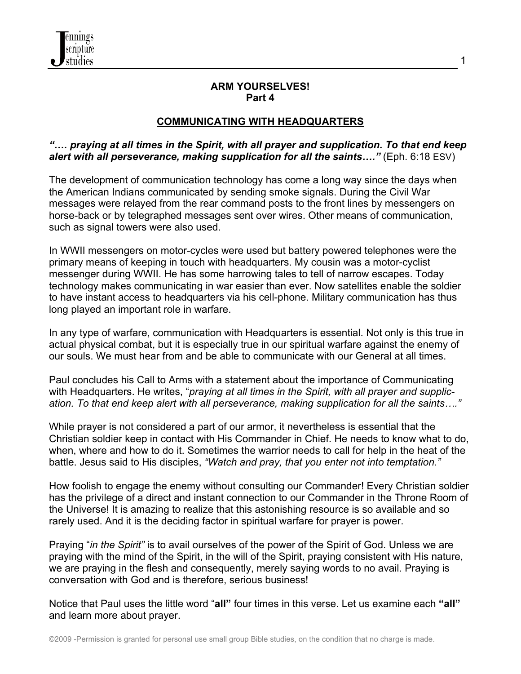

#### **ARM YOURSELVES! Part 4**

1

### **COMMUNICATING WITH HEADQUARTERS**

#### *"…. praying at all times in the Spirit, with all prayer and supplication. To that end keep alert with all perseverance, making supplication for all the saints…."* (Eph. 6:18 ESV)

The development of communication technology has come a long way since the days when the American Indians communicated by sending smoke signals. During the Civil War messages were relayed from the rear command posts to the front lines by messengers on horse-back or by telegraphed messages sent over wires. Other means of communication, such as signal towers were also used.

In WWII messengers on motor-cycles were used but battery powered telephones were the primary means of keeping in touch with headquarters. My cousin was a motor-cyclist messenger during WWII. He has some harrowing tales to tell of narrow escapes. Today technology makes communicating in war easier than ever. Now satellites enable the soldier to have instant access to headquarters via his cell-phone. Military communication has thus long played an important role in warfare.

In any type of warfare, communication with Headquarters is essential. Not only is this true in actual physical combat, but it is especially true in our spiritual warfare against the enemy of our souls. We must hear from and be able to communicate with our General at all times.

Paul concludes his Call to Arms with a statement about the importance of Communicating with Headquarters. He writes, "*praying at all times in the Spirit, with all prayer and supplication. To that end keep alert with all perseverance, making supplication for all the saints…."*

While prayer is not considered a part of our armor, it nevertheless is essential that the Christian soldier keep in contact with His Commander in Chief. He needs to know what to do, when, where and how to do it. Sometimes the warrior needs to call for help in the heat of the battle. Jesus said to His disciples, *"Watch and pray, that you enter not into temptation."*

How foolish to engage the enemy without consulting our Commander! Every Christian soldier has the privilege of a direct and instant connection to our Commander in the Throne Room of the Universe! It is amazing to realize that this astonishing resource is so available and so rarely used. And it is the deciding factor in spiritual warfare for prayer is power.

Praying "*in the Spirit"* is to avail ourselves of the power of the Spirit of God. Unless we are praying with the mind of the Spirit, in the will of the Spirit, praying consistent with His nature, we are praying in the flesh and consequently, merely saying words to no avail. Praying is conversation with God and is therefore, serious business!

Notice that Paul uses the little word "**all"** four times in this verse. Let us examine each **"all"** and learn more about prayer.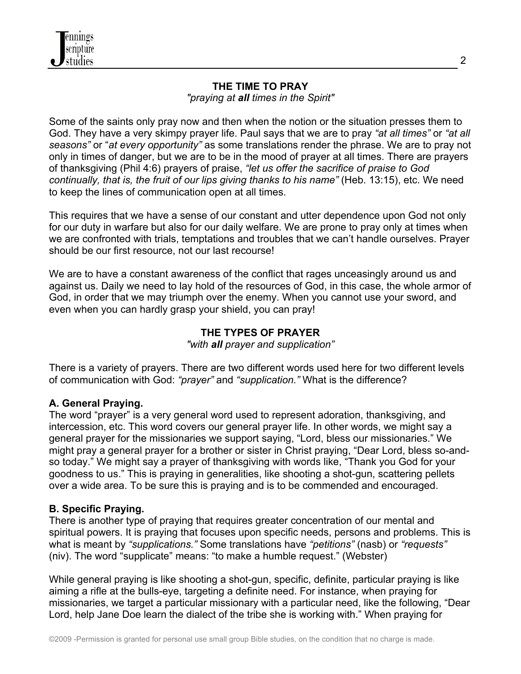### **THE TIME TO PRAY**

*"praying at all times in the Spirit"*

Some of the saints only pray now and then when the notion or the situation presses them to God. They have a very skimpy prayer life. Paul says that we are to pray *"at all times"* or *"at all seasons"* or "*at every opportunity"* as some translations render the phrase. We are to pray not only in times of danger, but we are to be in the mood of prayer at all times. There are prayers of thanksgiving (Phil 4:6) prayers of praise, *"let us offer the sacrifice of praise to God continually, that is, the fruit of our lips giving thanks to his name"* (Heb. 13:15), etc. We need to keep the lines of communication open at all times.

This requires that we have a sense of our constant and utter dependence upon God not only for our duty in warfare but also for our daily welfare. We are prone to pray only at times when we are confronted with trials, temptations and troubles that we can't handle ourselves. Prayer should be our first resource, not our last recourse!

We are to have a constant awareness of the conflict that rages unceasingly around us and against us. Daily we need to lay hold of the resources of God, in this case, the whole armor of God, in order that we may triumph over the enemy. When you cannot use your sword, and even when you can hardly grasp your shield, you can pray!

# **THE TYPES OF PRAYER**

*"with all prayer and supplication"*

There is a variety of prayers. There are two different words used here for two different levels of communication with God: *"prayer"* and *"supplication."* What is the difference?

## **A. General Praying.**

The word "prayer" is a very general word used to represent adoration, thanksgiving, and intercession, etc. This word covers our general prayer life. In other words, we might say a general prayer for the missionaries we support saying, "Lord, bless our missionaries." We might pray a general prayer for a brother or sister in Christ praying, "Dear Lord, bless so-andso today." We might say a prayer of thanksgiving with words like, "Thank you God for your goodness to us." This is praying in generalities, like shooting a shot-gun, scattering pellets over a wide area. To be sure this is praying and is to be commended and encouraged.

## **B. Specific Praying.**

There is another type of praying that requires greater concentration of our mental and spiritual powers. It is praying that focuses upon specific needs, persons and problems. This is what is meant by *"supplications."* Some translations have *"petitions"* (nasb) or *"requests"* (niv). The word "supplicate" means: "to make a humble request." (Webster)

While general praying is like shooting a shot-gun, specific, definite, particular praying is like aiming a rifle at the bulls-eye, targeting a definite need. For instance, when praying for missionaries, we target a particular missionary with a particular need, like the following, "Dear Lord, help Jane Doe learn the dialect of the tribe she is working with." When praying for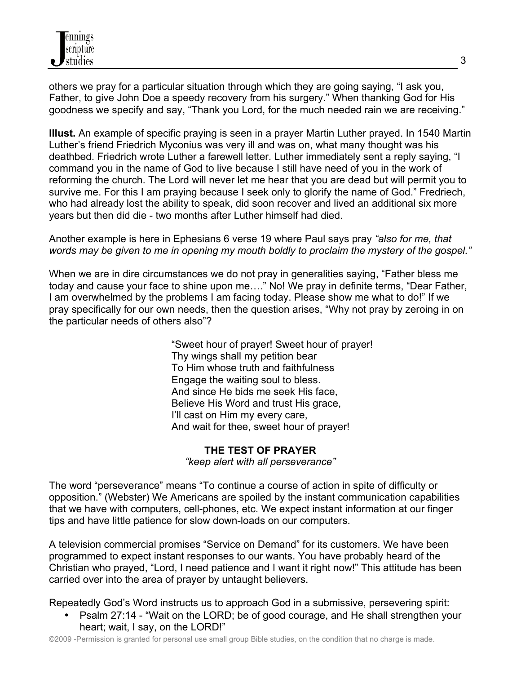others we pray for a particular situation through which they are going saying, "I ask you, Father, to give John Doe a speedy recovery from his surgery." When thanking God for His goodness we specify and say, "Thank you Lord, for the much needed rain we are receiving."

**Illust.** An example of specific praying is seen in a prayer Martin Luther prayed. In 1540 Martin Luther's friend Friedrich Myconius was very ill and was on, what many thought was his deathbed. Friedrich wrote Luther a farewell letter. Luther immediately sent a reply saying, "I command you in the name of God to live because I still have need of you in the work of reforming the church. The Lord will never let me hear that you are dead but will permit you to survive me. For this I am praying because I seek only to glorify the name of God." Fredriech, who had already lost the ability to speak, did soon recover and lived an additional six more years but then did die - two months after Luther himself had died.

Another example is here in Ephesians 6 verse 19 where Paul says pray *"also for me, that words may be given to me in opening my mouth boldly to proclaim the mystery of the gospel."*

When we are in dire circumstances we do not pray in generalities saying, "Father bless me today and cause your face to shine upon me…." No! We pray in definite terms, "Dear Father, I am overwhelmed by the problems I am facing today. Please show me what to do!" If we pray specifically for our own needs, then the question arises, "Why not pray by zeroing in on the particular needs of others also"?

> "Sweet hour of prayer! Sweet hour of prayer! Thy wings shall my petition bear To Him whose truth and faithfulness Engage the waiting soul to bless. And since He bids me seek His face, Believe His Word and trust His grace, I'll cast on Him my every care, And wait for thee, sweet hour of prayer!

### **THE TEST OF PRAYER**

*"keep alert with all perseverance"*

The word "perseverance" means "To continue a course of action in spite of difficulty or opposition." (Webster) We Americans are spoiled by the instant communication capabilities that we have with computers, cell-phones, etc. We expect instant information at our finger tips and have little patience for slow down-loads on our computers.

A television commercial promises "Service on Demand" for its customers. We have been programmed to expect instant responses to our wants. You have probably heard of the Christian who prayed, "Lord, I need patience and I want it right now!" This attitude has been carried over into the area of prayer by untaught believers.

Repeatedly God's Word instructs us to approach God in a submissive, persevering spirit:

• Psalm 27:14 - "Wait on the LORD; be of good courage, and He shall strengthen your heart; wait, I say, on the LORD!"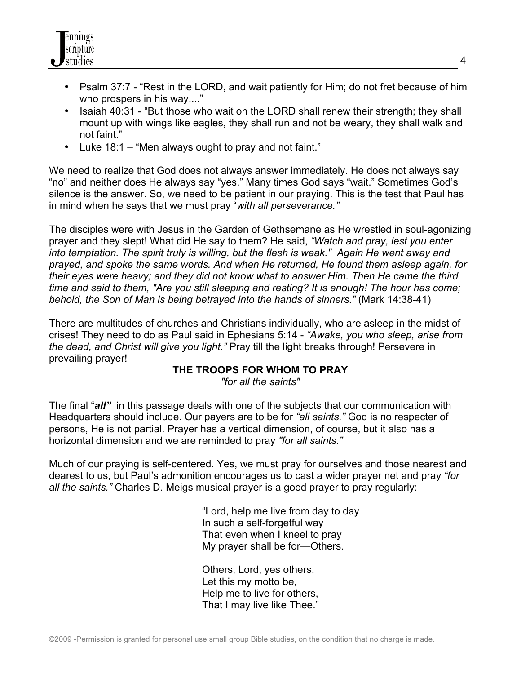

- Psalm 37:7 "Rest in the LORD, and wait patiently for Him; do not fret because of him who prospers in his way...."
- Isaiah 40:31 "But those who wait on the LORD shall renew their strength; they shall mount up with wings like eagles, they shall run and not be weary, they shall walk and not faint."
- Luke 18:1 "Men always ought to pray and not faint."

We need to realize that God does not always answer immediately. He does not always say "no" and neither does He always say "yes." Many times God says "wait." Sometimes God's silence is the answer. So, we need to be patient in our praying. This is the test that Paul has in mind when he says that we must pray "*with all perseverance."*

The disciples were with Jesus in the Garden of Gethsemane as He wrestled in soul-agonizing prayer and they slept! What did He say to them? He said, *"Watch and pray, lest you enter into temptation. The spirit truly is willing, but the flesh is weak." Again He went away and prayed, and spoke the same words. And when He returned, He found them asleep again, for their eyes were heavy; and they did not know what to answer Him. Then He came the third time and said to them, "Are you still sleeping and resting? It is enough! The hour has come; behold, the Son of Man is being betrayed into the hands of sinners."* (Mark 14:38-41)

There are multitudes of churches and Christians individually, who are asleep in the midst of crises! They need to do as Paul said in Ephesians 5:14 - *"Awake, you who sleep, arise from the dead, and Christ will give you light."* Pray till the light breaks through! Persevere in prevailing prayer!

### **THE TROOPS FOR WHOM TO PRAY**

*"for all the saints"*

The final "*all"* in this passage deals with one of the subjects that our communication with Headquarters should include. Our payers are to be for *"all saints."* God is no respecter of persons, He is not partial. Prayer has a vertical dimension, of course, but it also has a horizontal dimension and we are reminded to pray *"for all saints."*

Much of our praying is self-centered. Yes, we must pray for ourselves and those nearest and dearest to us, but Paul's admonition encourages us to cast a wider prayer net and pray *"for all the saints."* Charles D. Meigs musical prayer is a good prayer to pray regularly:

> "Lord, help me live from day to day In such a self-forgetful way That even when I kneel to pray My prayer shall be for—Others.

Others, Lord, yes others, Let this my motto be, Help me to live for others, That I may live like Thee."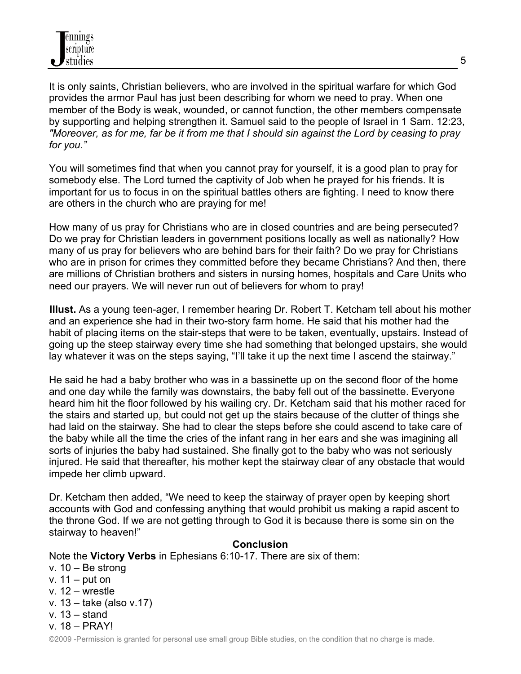It is only saints, Christian believers, who are involved in the spiritual warfare for which God provides the armor Paul has just been describing for whom we need to pray. When one member of the Body is weak, wounded, or cannot function, the other members compensate by supporting and helping strengthen it. Samuel said to the people of Israel in 1 Sam. 12:23, *"Moreover, as for me, far be it from me that I should sin against the Lord by ceasing to pray for you."*

You will sometimes find that when you cannot pray for yourself, it is a good plan to pray for somebody else. The Lord turned the captivity of Job when he prayed for his friends. It is important for us to focus in on the spiritual battles others are fighting. I need to know there are others in the church who are praying for me!

How many of us pray for Christians who are in closed countries and are being persecuted? Do we pray for Christian leaders in government positions locally as well as nationally? How many of us pray for believers who are behind bars for their faith? Do we pray for Christians who are in prison for crimes they committed before they became Christians? And then, there are millions of Christian brothers and sisters in nursing homes, hospitals and Care Units who need our prayers. We will never run out of believers for whom to pray!

**Illust.** As a young teen-ager, I remember hearing Dr. Robert T. Ketcham tell about his mother and an experience she had in their two-story farm home. He said that his mother had the habit of placing items on the stair-steps that were to be taken, eventually, upstairs. Instead of going up the steep stairway every time she had something that belonged upstairs, she would lay whatever it was on the steps saying, "I'll take it up the next time I ascend the stairway."

He said he had a baby brother who was in a bassinette up on the second floor of the home and one day while the family was downstairs, the baby fell out of the bassinette. Everyone heard him hit the floor followed by his wailing cry. Dr. Ketcham said that his mother raced for the stairs and started up, but could not get up the stairs because of the clutter of things she had laid on the stairway. She had to clear the steps before she could ascend to take care of the baby while all the time the cries of the infant rang in her ears and she was imagining all sorts of injuries the baby had sustained. She finally got to the baby who was not seriously injured. He said that thereafter, his mother kept the stairway clear of any obstacle that would impede her climb upward.

Dr. Ketcham then added, "We need to keep the stairway of prayer open by keeping short accounts with God and confessing anything that would prohibit us making a rapid ascent to the throne God. If we are not getting through to God it is because there is some sin on the stairway to heaven!"

### **Conclusion**

Note the **Victory Verbs** in Ephesians 6:10-17. There are six of them:

v. 10 – Be strong v. 11 – put on v. 12 – wrestle v. 13 – take (also v.17) v. 13 – stand v. 18 – PRAY!

©2009 -Permission is granted for personal use small group Bible studies, on the condition that no charge is made.